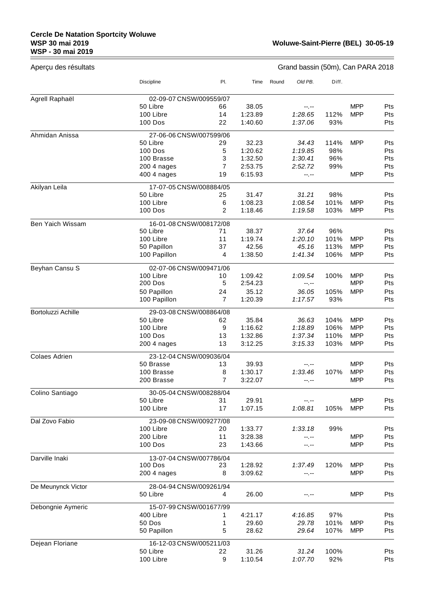## **Cercle De Natation Sportcity Woluwe WSP 30 mai 2019 WSP - 30 mai 2019**

 $\equiv$ 

| Aperçu des résultats |                         |                |         |       |         |       | Grand bassin (50m), Can PARA 2018 |     |
|----------------------|-------------------------|----------------|---------|-------|---------|-------|-----------------------------------|-----|
|                      | <b>Discipline</b>       | PI.            | Time    | Round | Old PB. | Diff. |                                   |     |
| Agrell Raphaël       | 02-09-07 CNSW/009559/07 |                |         |       |         |       |                                   |     |
|                      | 50 Libre                | 66             | 38.05   |       | --.--   |       | <b>MPP</b>                        | Pts |
|                      | 100 Libre               | 14             | 1:23.89 |       | 1:28.65 | 112%  | <b>MPP</b>                        | Pts |
|                      | 100 Dos                 | 22             | 1:40.60 |       | 1:37.06 | 93%   |                                   | Pts |
| Ahmidan Anissa       | 27-06-06 CNSW/007599/06 |                |         |       |         |       |                                   |     |
|                      | 50 Libre                | 29             | 32.23   |       | 34.43   | 114%  | <b>MPP</b>                        | Pts |
|                      | 100 Dos                 | 5              | 1:20.62 |       | 1:19.85 | 98%   |                                   | Pts |
|                      | 100 Brasse              | 3              | 1:32.50 |       | 1:30.41 | 96%   |                                   | Pts |
|                      | 200 4 nages             | $\overline{7}$ | 2:53.75 |       | 2:52.72 | 99%   |                                   | Pts |
|                      | 400 4 nages             | 19             | 6:15.93 |       | --.--   |       | <b>MPP</b>                        | Pts |
| Akilyan Leila        | 17-07-05 CNSW/008884/05 |                |         |       |         |       |                                   |     |
|                      | 50 Libre                | 25             | 31.47   |       | 31.21   | 98%   |                                   | Pts |
|                      | 100 Libre               | 6              | 1:08.23 |       | 1:08.54 | 101%  | <b>MPP</b>                        | Pts |
|                      | 100 Dos                 | 2              | 1:18.46 |       | 1:19.58 | 103%  | <b>MPP</b>                        | Pts |
| Ben Yaich Wissam     | 16-01-08 CNSW/008172/08 |                |         |       |         |       |                                   |     |
|                      | 50 Libre                | 71             | 38.37   |       | 37.64   | 96%   |                                   | Pts |
|                      | 100 Libre               | 11             | 1:19.74 |       | 1:20.10 | 101%  | <b>MPP</b>                        | Pts |
|                      | 50 Papillon             | 37             | 42.56   |       | 45.16   | 113%  | <b>MPP</b>                        | Pts |
|                      | 100 Papillon            | 4              | 1:38.50 |       | 1:41.34 | 106%  | <b>MPP</b>                        | Pts |
| Beyhan Cansu S       | 02-07-06 CNSW/009471/06 |                |         |       |         |       |                                   |     |
|                      | 100 Libre               | 10             | 1:09.42 |       | 1:09.54 | 100%  | <b>MPP</b>                        | Pts |
|                      | <b>200 Dos</b>          | 5              | 2:54.23 |       | --.--   |       | <b>MPP</b>                        | Pts |
|                      | 50 Papillon             | 24             | 35.12   |       | 36.05   | 105%  | <b>MPP</b>                        | Pts |
|                      | 100 Papillon            | $\overline{7}$ | 1:20.39 |       | 1:17.57 | 93%   |                                   | Pts |
| Bortoluzzi Achille   | 29-03-08 CNSW/008864/08 |                |         |       |         |       |                                   |     |
|                      | 50 Libre                | 62             | 35.84   |       | 36.63   | 104%  | <b>MPP</b>                        | Pts |
|                      | 100 Libre               | 9              | 1:16.62 |       | 1:18.89 | 106%  | <b>MPP</b>                        | Pts |
|                      | <b>100 Dos</b>          | 13             | 1:32.86 |       | 1:37.34 | 110%  | <b>MPP</b>                        | Pts |
|                      | 200 4 nages             | 13             | 3:12.25 |       | 3:15.33 | 103%  | <b>MPP</b>                        | Pts |
| <b>Colaes Adrien</b> | 23-12-04 CNSW/009036/04 |                |         |       |         |       |                                   |     |
|                      | 50 Brasse               | 13             | 39.93   |       | --.--   |       | <b>MPP</b>                        | Pts |
|                      | 100 Brasse              | 8              | 1:30.17 |       | 1:33.46 | 107%  | <b>MPP</b>                        | Pts |
|                      | 200 Brasse              | 7              | 3:22.07 |       | -- --   |       | <b>MPP</b>                        | Pts |
| Colino Santiago      | 30-05-04 CNSW/008288/04 |                |         |       |         |       |                                   |     |
|                      | 50 Libre                | 31             | 29.91   |       | --.--   |       | <b>MPP</b>                        | Pts |
|                      | 100 Libre               | 17             | 1:07.15 |       | 1:08.81 | 105%  | <b>MPP</b>                        | Pts |
| Dal Zovo Fabio       | 23-09-08 CNSW/009277/08 |                |         |       |         |       |                                   |     |
|                      | 100 Libre               | 20             | 1:33.77 |       | 1:33.18 | 99%   |                                   | Pts |
|                      | 200 Libre               | 11             | 3:28.38 |       | --.--   |       | <b>MPP</b>                        | Pts |
|                      | 100 Dos                 | 23             | 1:43.66 |       | --.--   |       | <b>MPP</b>                        | Pts |
| Darville Inaki       | 13-07-04 CNSW/007786/04 |                |         |       |         |       |                                   |     |
|                      | <b>100 Dos</b>          | 23             | 1:28.92 |       | 1:37.49 | 120%  | <b>MPP</b>                        | Pts |
|                      | 200 4 nages             | 8              | 3:09.62 |       | --.--   |       | <b>MPP</b>                        | Pts |
| De Meunynck Victor   | 28-04-94 CNSW/009261/94 |                |         |       |         |       |                                   |     |
|                      | 50 Libre                | 4              | 26.00   |       |         |       | <b>MPP</b>                        | Pts |
| Debongnie Aymeric    | 15-07-99 CNSW/001677/99 |                |         |       |         |       |                                   |     |
|                      | 400 Libre               | 1              | 4:21.17 |       | 4:16.85 | 97%   |                                   | Pts |
|                      | 50 Dos                  | 1              | 29.60   |       | 29.78   | 101%  | <b>MPP</b>                        | Pts |
|                      | 50 Papillon             | 5              | 28.62   |       | 29.64   | 107%  | <b>MPP</b>                        | Pts |
| Dejean Floriane      | 16-12-03 CNSW/005211/03 |                |         |       |         |       |                                   |     |
|                      | 50 Libre                | 22             | 31.26   |       | 31.24   | 100%  |                                   | Pts |
|                      | 100 Libre               | 9              | 1:10.54 |       | 1:07.70 | 92%   |                                   | Pts |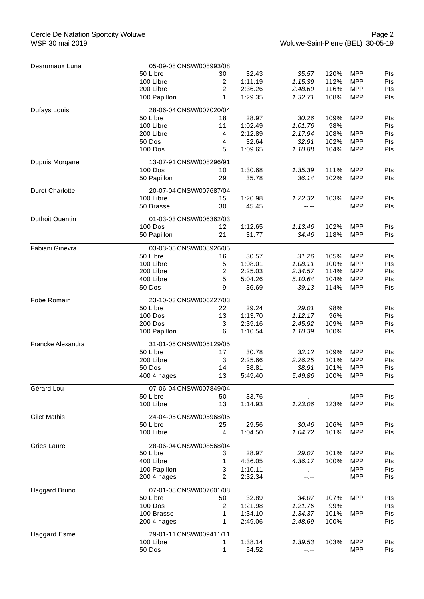| Desrumaux Luna         | 05-09-08 CNSW/008993/08 |    |         |         |      |            |     |  |  |  |  |
|------------------------|-------------------------|----|---------|---------|------|------------|-----|--|--|--|--|
|                        | 50 Libre                | 30 | 32.43   | 35.57   | 120% | <b>MPP</b> | Pts |  |  |  |  |
|                        | 100 Libre               | 2  | 1:11.19 | 1:15.39 | 112% | <b>MPP</b> | Pts |  |  |  |  |
|                        | 200 Libre               | 2  | 2:36.26 | 2:48.60 | 116% | <b>MPP</b> | Pts |  |  |  |  |
|                        | 100 Papillon            | 1  | 1:29.35 | 1:32.71 | 108% | <b>MPP</b> | Pts |  |  |  |  |
| Dufays Louis           | 28-06-04 CNSW/007020/04 |    |         |         |      |            |     |  |  |  |  |
|                        | 50 Libre                | 18 | 28.97   | 30.26   | 109% | <b>MPP</b> | Pts |  |  |  |  |
|                        | 100 Libre               | 11 | 1:02.49 | 1:01.76 | 98%  |            | Pts |  |  |  |  |
|                        | 200 Libre               | 4  | 2:12.89 | 2:17.94 | 108% | <b>MPP</b> | Pts |  |  |  |  |
|                        | 50 Dos                  | 4  | 32.64   | 32.91   | 102% | <b>MPP</b> | Pts |  |  |  |  |
|                        | 100 Dos                 | 5  | 1:09.65 | 1:10.88 | 104% | <b>MPP</b> | Pts |  |  |  |  |
| Dupuis Morgane         | 13-07-91 CNSW/008296/91 |    |         |         |      |            |     |  |  |  |  |
|                        | <b>100 Dos</b>          | 10 | 1:30.68 | 1:35.39 | 111% | <b>MPP</b> | Pts |  |  |  |  |
|                        | 50 Papillon             | 29 | 35.78   | 36.14   | 102% | <b>MPP</b> | Pts |  |  |  |  |
| <b>Duret Charlotte</b> | 20-07-04 CNSW/007687/04 |    |         |         |      |            |     |  |  |  |  |
|                        | 100 Libre               | 15 | 1:20.98 | 1:22.32 | 103% | <b>MPP</b> | Pts |  |  |  |  |
|                        | 50 Brasse               | 30 | 45.45   | --.--   |      | <b>MPP</b> | Pts |  |  |  |  |
| <b>Duthoit Quentin</b> | 01-03-03 CNSW/006362/03 |    |         |         |      |            |     |  |  |  |  |
|                        | <b>100 Dos</b>          | 12 | 1:12.65 | 1:13.46 | 102% | <b>MPP</b> | Pts |  |  |  |  |
|                        | 50 Papillon             | 21 | 31.77   | 34.46   | 118% | <b>MPP</b> | Pts |  |  |  |  |
| Fabiani Ginevra        | 03-03-05 CNSW/008926/05 |    |         |         |      |            |     |  |  |  |  |
|                        | 50 Libre                | 16 | 30.57   | 31.26   | 105% | <b>MPP</b> | Pts |  |  |  |  |
|                        | 100 Libre               | 5  | 1:08.01 | 1:08.11 | 100% | <b>MPP</b> | Pts |  |  |  |  |
|                        | 200 Libre               | 2  | 2:25.03 | 2:34.57 | 114% | <b>MPP</b> | Pts |  |  |  |  |
|                        | 400 Libre               | 5  | 5:04.26 | 5:10.64 | 104% | <b>MPP</b> | Pts |  |  |  |  |
|                        | 50 Dos                  | 9  | 36.69   | 39.13   | 114% | <b>MPP</b> | Pts |  |  |  |  |
| Fobe Romain            | 23-10-03 CNSW/006227/03 |    |         |         |      |            |     |  |  |  |  |
|                        | 50 Libre                | 22 | 29.24   | 29.01   | 98%  |            | Pts |  |  |  |  |
|                        | 100 Dos                 | 13 | 1:13.70 | 1:12.17 | 96%  |            | Pts |  |  |  |  |
|                        | 200 Dos                 | 3  | 2:39.16 | 2:45.92 | 109% | <b>MPP</b> | Pts |  |  |  |  |
|                        | 100 Papillon            | 6  | 1:10.54 | 1:10.39 | 100% |            | Pts |  |  |  |  |
| Francke Alexandra      | 31-01-05 CNSW/005129/05 |    |         |         |      |            |     |  |  |  |  |
|                        | 50 Libre                | 17 | 30.78   | 32.12   | 109% | <b>MPP</b> | Pts |  |  |  |  |
|                        | 200 Libre               | 3  | 2:25.66 | 2:26.25 | 101% | <b>MPP</b> | Pts |  |  |  |  |
|                        | 50 Dos                  | 14 | 38.81   | 38.91   | 101% | <b>MPP</b> | Pts |  |  |  |  |
|                        | 400 4 nages             | 13 | 5:49.40 | 5:49.86 | 100% | <b>MPP</b> | Pts |  |  |  |  |
| Gérard Lou             | 07-06-04 CNSW/007849/04 |    |         |         |      |            |     |  |  |  |  |
|                        | 50 Libre                | 50 | 33.76   | --.--   |      | <b>MPP</b> | Pts |  |  |  |  |
|                        | 100 Libre               | 13 | 1:14.93 | 1:23.06 | 123% | <b>MPP</b> | Pts |  |  |  |  |
| <b>Gilet Mathis</b>    | 24-04-05 CNSW/005968/05 |    |         |         |      |            |     |  |  |  |  |
|                        | 50 Libre                | 25 | 29.56   | 30.46   | 106% | <b>MPP</b> | Pts |  |  |  |  |
|                        | 100 Libre               | 4  | 1:04.50 | 1:04.72 | 101% | <b>MPP</b> | Pts |  |  |  |  |
| Gries Laure            | 28-06-04 CNSW/008568/04 |    |         |         |      |            |     |  |  |  |  |
|                        | 50 Libre                | 3  | 28.97   | 29.07   | 101% | <b>MPP</b> | Pts |  |  |  |  |
|                        | 400 Libre               | 1  | 4:36.05 | 4:36.17 | 100% | <b>MPP</b> | Pts |  |  |  |  |
|                        | 100 Papillon            | 3  | 1:10.11 | --.--   |      | <b>MPP</b> | Pts |  |  |  |  |
|                        | 200 4 nages             | 2  | 2:32.34 | --.--   |      | <b>MPP</b> | Pts |  |  |  |  |
| Haggard Bruno          | 07-01-08 CNSW/007601/08 |    |         |         |      |            |     |  |  |  |  |
|                        | 50 Libre                | 50 | 32.89   | 34.07   | 107% | <b>MPP</b> | Pts |  |  |  |  |
|                        | 100 Dos                 | 2  | 1:21.98 | 1:21.76 | 99%  |            | Pts |  |  |  |  |
|                        | 100 Brasse              | 1  | 1:34.10 | 1:34.37 | 101% | <b>MPP</b> | Pts |  |  |  |  |
|                        | 200 4 nages             | 1  | 2:49.06 | 2:48.69 | 100% |            | Pts |  |  |  |  |
| <b>Haggard Esme</b>    | 29-01-11 CNSW/009411/11 |    |         |         |      |            |     |  |  |  |  |
|                        | 100 Libre               | 1  | 1:38.14 | 1:39.53 | 103% | <b>MPP</b> | Pts |  |  |  |  |
|                        | 50 Dos                  | 1  | 54.52   | --.--   |      | <b>MPP</b> | Pts |  |  |  |  |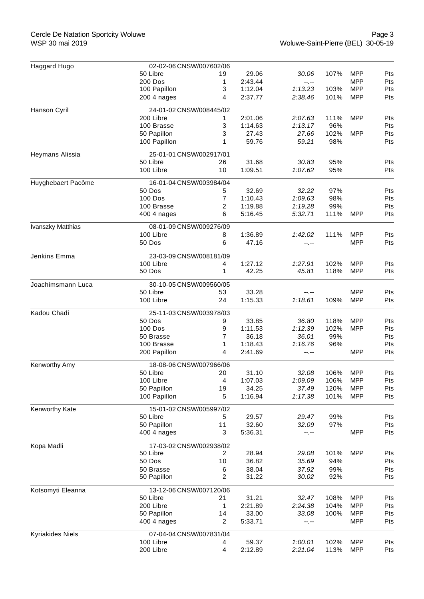| Haggard Hugo       | 02-02-06 CNSW/007602/06    |                |                  |                |      |            |            |
|--------------------|----------------------------|----------------|------------------|----------------|------|------------|------------|
|                    | 50 Libre                   | 19             | 29.06            | 30.06          | 107% | <b>MPP</b> | Pts        |
|                    | 200 Dos                    | 1              | 2:43.44          | --.--          |      | <b>MPP</b> | Pts        |
|                    | 100 Papillon               | 3              | 1:12.04          | 1:13.23        | 103% | <b>MPP</b> | Pts        |
|                    | 200 4 nages                | 4              | 2:37.77          | 2:38.46        | 101% | <b>MPP</b> | Pts        |
| Hanson Cyril       | 24-01-02 CNSW/008445/02    |                |                  |                |      |            |            |
|                    | 200 Libre                  | 1.             | 2:01.06          | 2:07.63        | 111% | <b>MPP</b> | Pts        |
|                    | 100 Brasse                 | 3              | 1:14.63          | 1:13.17        | 96%  |            | Pts        |
|                    | 50 Papillon                | 3              | 27.43            | 27.66          | 102% | <b>MPP</b> | Pts        |
|                    | 100 Papillon               | 1              | 59.76            | 59.21          | 98%  |            | Pts        |
| Heymans Alissia    | 25-01-01 CNSW/002917/01    |                |                  |                |      |            |            |
|                    | 50 Libre                   | 26             | 31.68            | 30.83          | 95%  |            | Pts        |
|                    | 100 Libre                  | 10             | 1:09.51          | 1:07.62        | 95%  |            | Pts        |
| Huyghebaert Pacôme | 16-01-04 CNSW/003984/04    |                |                  |                |      |            |            |
|                    | 50 Dos                     | 5              | 32.69            | 32.22          | 97%  |            | Pts        |
|                    | <b>100 Dos</b>             | 7              | 1:10.43          | 1:09.63        | 98%  |            | Pts        |
|                    | 100 Brasse                 | 2              | 1:19.88          | 1:19.28        | 99%  |            | Pts        |
|                    | 400 4 nages                | 6              | 5:16.45          | 5:32.71        | 111% | <b>MPP</b> | Pts        |
| Ivanszky Matthias  | 08-01-09 CNSW/009276/09    |                |                  |                |      |            |            |
|                    | 100 Libre                  | 8              | 1:36.89          | 1:42.02        | 111% | <b>MPP</b> | Pts        |
|                    | 50 Dos                     | 6              | 47.16            | $-1, -1$       |      | <b>MPP</b> | Pts        |
| Jenkins Emma       | 23-03-09 CNSW/008181/09    |                |                  |                |      |            |            |
|                    | 100 Libre                  | 4              | 1:27.12          | 1:27.91        | 102% | <b>MPP</b> | Pts        |
|                    | 50 Dos                     | 1              | 42.25            | 45.81          | 118% | <b>MPP</b> | Pts        |
| Joachimsmann Luca  | 30-10-05 CNSW/009560/05    |                |                  |                |      |            |            |
|                    | 50 Libre                   | 53             | 33.28            | --.--          |      | <b>MPP</b> | Pts        |
|                    | 100 Libre                  | 24             | 1:15.33          | 1:18.61        | 109% | <b>MPP</b> | Pts        |
| Kadou Chadi        | 25-11-03 CNSW/003978/03    |                |                  |                |      |            |            |
|                    | 50 Dos                     | 9              | 33.85            | 36.80          | 118% | <b>MPP</b> | Pts        |
|                    | <b>100 Dos</b>             | 9              | 1:11.53          | 1:12.39        | 102% | <b>MPP</b> | Pts        |
|                    | 50 Brasse                  | 7              | 36.18            | 36.01          | 99%  |            | Pts        |
|                    | 100 Brasse                 | 1              | 1:18.43          | 1:16.76        | 96%  |            | Pts        |
|                    | 200 Papillon               | 4              | 2:41.69          | --.--          |      | <b>MPP</b> | Pts        |
| Kenworthy Amy      | 18-08-06 CNSW/007966/06    |                |                  |                |      |            |            |
|                    | 50 Libre                   | 20             | 31.10            | 32.08          | 106% | <b>MPP</b> | Pts        |
|                    | 100 Libre                  | $\overline{4}$ | 1:07.03          | 1:09.09        | 106% | <b>MPP</b> | Pts        |
|                    | 50 Papillon                | 19             | 34.25            | 37.49          | 120% | <b>MPP</b> | Pts        |
|                    | 100 Papillon               | 5              | 1:16.94          | 1:17.38        | 101% | <b>MPP</b> | Pts        |
| Kenworthy Kate     | 15-01-02 CNSW/005997/02    |                |                  |                |      |            |            |
|                    | 50 Libre                   | 5              | 29.57            | 29.47          | 99%  |            | Pts        |
|                    | 50 Papillon<br>400 4 nages | 11<br>3        | 32.60<br>5:36.31 | 32.09<br>--.-- | 97%  | <b>MPP</b> | Pts<br>Pts |
| Kopa Madli         | 17-03-02 CNSW/002938/02    |                |                  |                |      |            |            |
|                    | 50 Libre                   | 2              | 28.94            | 29.08          | 101% | <b>MPP</b> | Pts        |
|                    | 50 Dos                     | 10             | 36.82            | 35.69          | 94%  |            | Pts        |
|                    | 50 Brasse                  | 6              | 38.04            | 37.92          | 99%  |            | Pts        |
|                    | 50 Papillon                | 2              | 31.22            | 30.02          | 92%  |            | Pts        |
| Kotsomyti Eleanna  | 13-12-06 CNSW/007120/06    |                |                  |                |      |            |            |
|                    | 50 Libre                   | 21             | 31.21            | 32.47          | 108% | <b>MPP</b> | Pts        |
|                    | 200 Libre                  | 1              | 2:21.89          | 2:24.38        | 104% | <b>MPP</b> | Pts        |
|                    | 50 Papillon                | 14             | 33.00            | 33.08          | 100% | <b>MPP</b> | Pts        |
|                    | 400 4 nages                | 2              | 5:33.71          | $-1, -1$       |      | <b>MPP</b> | Pts        |
| Kyriakides Niels   | 07-04-04 CNSW/007831/04    |                |                  |                |      |            |            |
|                    | 100 Libre                  | 4              | 59.37            | 1:00.01        | 102% | <b>MPP</b> | Pts        |
|                    | 200 Libre                  | 4              | 2:12.89          | 2:21.04        | 113% | <b>MPP</b> | Pts        |
|                    |                            |                |                  |                |      |            |            |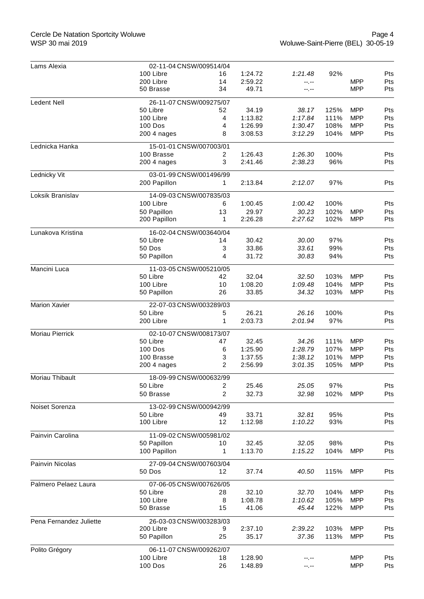## Cercle De Natation Sportcity Woluwe WSP 30 mai 2019

| Lams Alexia             | 02-11-04 CNSW/009514/04 |                |         |         |      |            |            |
|-------------------------|-------------------------|----------------|---------|---------|------|------------|------------|
|                         | 100 Libre               | 16             | 1:24.72 | 1:21.48 | 92%  |            | Pts        |
|                         | 200 Libre               | 14             | 2:59.22 | --.--   |      | <b>MPP</b> | Pts        |
|                         | 50 Brasse               | 34             | 49.71   | --.--   |      | <b>MPP</b> | Pts        |
| <b>Ledent Nell</b>      | 26-11-07 CNSW/009275/07 |                |         |         |      |            |            |
|                         | 50 Libre                | 52             | 34.19   | 38.17   | 125% | <b>MPP</b> | Pts        |
|                         | 100 Libre               | 4              | 1:13.82 | 1:17.84 | 111% | <b>MPP</b> | Pts        |
|                         | <b>100 Dos</b>          | 4              | 1:26.99 | 1:30.47 | 108% | <b>MPP</b> | Pts        |
|                         | 200 4 nages             | 8              | 3:08.53 | 3:12.29 | 104% | <b>MPP</b> | Pts        |
| Lednicka Hanka          | 15-01-01 CNSW/007003/01 |                |         |         |      |            |            |
|                         | 100 Brasse              | 2              | 1:26.43 | 1:26.30 | 100% |            | <b>Pts</b> |
|                         | 200 4 nages             | 3              | 2:41.46 | 2:38.23 | 96%  |            | Pts        |
| Lednicky Vit            | 03-01-99 CNSW/001496/99 |                |         |         |      |            |            |
|                         | 200 Papillon            | $\mathbf{1}$   | 2:13.84 | 2:12.07 | 97%  |            | Pts        |
| Loksik Branislav        | 14-09-03 CNSW/007835/03 |                |         |         |      |            |            |
|                         | 100 Libre               | 6              | 1:00.45 | 1:00.42 | 100% |            | Pts        |
|                         | 50 Papillon             | 13             | 29.97   | 30.23   | 102% | <b>MPP</b> | Pts        |
|                         | 200 Papillon            | 1              | 2:26.28 | 2:27.62 | 102% | <b>MPP</b> | Pts        |
| Lunakova Kristina       | 16-02-04 CNSW/003640/04 |                |         |         |      |            |            |
|                         | 50 Libre                | 14             | 30.42   | 30.00   | 97%  |            | Pts        |
|                         | 50 Dos                  | 3              | 33.86   | 33.61   | 99%  |            | Pts        |
|                         | 50 Papillon             | 4              | 31.72   | 30.83   | 94%  |            | Pts        |
| Mancini Luca            | 11-03-05 CNSW/005210/05 |                |         |         |      |            |            |
|                         | 50 Libre                | 42             | 32.04   | 32.50   | 103% | <b>MPP</b> | Pts        |
|                         | 100 Libre               | 10             | 1:08.20 | 1:09.48 | 104% | <b>MPP</b> | Pts        |
|                         | 50 Papillon             | 26             | 33.85   | 34.32   | 103% | <b>MPP</b> | Pts        |
| <b>Marion Xavier</b>    | 22-07-03 CNSW/003289/03 |                |         |         |      |            |            |
|                         | 50 Libre                | 5              | 26.21   | 26.16   | 100% |            | Pts        |
|                         | 200 Libre               | 1              | 2:03.73 | 2:01.94 | 97%  |            | Pts        |
| Moriau Pierrick         | 02-10-07 CNSW/008173/07 |                |         |         |      |            |            |
|                         | 50 Libre                | 47             | 32.45   | 34.26   | 111% | <b>MPP</b> | Pts        |
|                         | <b>100 Dos</b>          | 6              | 1:25.90 | 1:28.79 | 107% | <b>MPP</b> | Pts        |
|                         | 100 Brasse              | 3              | 1:37.55 | 1:38.12 | 101% | <b>MPP</b> | Pts        |
|                         | 200 4 nages             | 2              | 2:56.99 | 3:01.35 | 105% | <b>MPP</b> | Pts        |
| Moriau Thibault         | 18-09-99 CNSW/000632/99 |                |         |         |      |            |            |
|                         | 50 Libre                | $\overline{c}$ | 25.46   | 25.05   | 97%  |            | Pts        |
|                         | 50 Brasse               | $\overline{2}$ | 32.73   | 32.98   | 102% | <b>MPP</b> | Pts        |
| Noiset Sorenza          | 13-02-99 CNSW/000942/99 |                |         |         |      |            |            |
|                         | 50 Libre                | 49             | 33.71   | 32.81   | 95%  |            | Pts        |
|                         | 100 Libre               | 12             | 1:12.98 | 1:10.22 | 93%  |            | Pts        |
| Painvin Carolina        | 11-09-02 CNSW/005981/02 |                |         |         |      |            |            |
|                         | 50 Papillon             | 10             | 32.45   | 32.05   | 98%  |            | Pts        |
|                         | 100 Papillon            | 1              | 1:13.70 | 1:15.22 | 104% | <b>MPP</b> | Pts        |
| Painvin Nicolas         | 27-09-04 CNSW/007603/04 |                |         |         |      |            |            |
|                         | 50 Dos                  | 12             | 37.74   | 40.50   | 115% | <b>MPP</b> | Pts        |
| Palmero Pelaez Laura    | 07-06-05 CNSW/007626/05 |                |         |         |      |            |            |
|                         | 50 Libre                | 28             | 32.10   | 32.70   | 104% | <b>MPP</b> | Pts        |
|                         | 100 Libre               | 8              | 1:08.78 | 1:10.62 | 105% | <b>MPP</b> | Pts        |
|                         | 50 Brasse               | 15             | 41.06   | 45.44   | 122% | <b>MPP</b> | Pts        |
| Pena Fernandez Juliette | 26-03-03 CNSW/003283/03 |                |         |         |      |            |            |
|                         | 200 Libre               | 9              | 2:37.10 | 2:39.22 | 103% | <b>MPP</b> | Pts        |
|                         | 50 Papillon             | 25             | 35.17   | 37.36   | 113% | <b>MPP</b> | Pts        |
| Polito Grégory          | 06-11-07 CNSW/009262/07 |                |         |         |      |            |            |
|                         | 100 Libre               | 18             | 1:28.90 |         |      | <b>MPP</b> | <b>Pts</b> |
|                         | 100 Dos                 | 26             | 1:48.89 | --.--   |      | <b>MPP</b> | Pts        |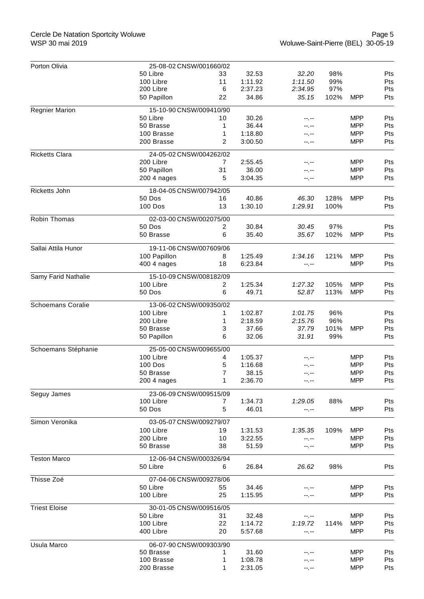## Cercle De Natation Sportcity Woluwe WSP 30 mai 2019

| Porton Olivia            | 25-08-02 CNSW/001660/02 |    |         |                                                                                                                                                                                                                                                                                                                                                                                                                                                                                                                                                                                                                                                                                                                                                                                                                                     |      |            |     |
|--------------------------|-------------------------|----|---------|-------------------------------------------------------------------------------------------------------------------------------------------------------------------------------------------------------------------------------------------------------------------------------------------------------------------------------------------------------------------------------------------------------------------------------------------------------------------------------------------------------------------------------------------------------------------------------------------------------------------------------------------------------------------------------------------------------------------------------------------------------------------------------------------------------------------------------------|------|------------|-----|
|                          | 50 Libre                | 33 | 32.53   |                                                                                                                                                                                                                                                                                                                                                                                                                                                                                                                                                                                                                                                                                                                                                                                                                                     |      |            |     |
|                          | 100 Libre               | 11 | 1:11.92 |                                                                                                                                                                                                                                                                                                                                                                                                                                                                                                                                                                                                                                                                                                                                                                                                                                     |      |            |     |
|                          | 200 Libre               | 6  | 2:37.23 | 2:34.95                                                                                                                                                                                                                                                                                                                                                                                                                                                                                                                                                                                                                                                                                                                                                                                                                             | 97%  |            | Pts |
|                          | 50 Papillon             | 22 | 34.86   | 35.15                                                                                                                                                                                                                                                                                                                                                                                                                                                                                                                                                                                                                                                                                                                                                                                                                               | 102% | <b>MPP</b> |     |
| <b>Regnier Marion</b>    | 15-10-90 CNSW/009410/90 |    |         | 32.20<br>98%<br>Pts<br>1:11.50<br>99%<br>Pts<br>Pts<br>MPP<br>Pts<br>--.--<br><b>MPP</b><br>Pts<br>--.--<br><b>MPP</b><br>Pts<br>--.--<br><b>MPP</b><br>Pts<br>--.--<br><b>MPP</b><br>Pts<br>--.--<br><b>MPP</b><br>Pts<br>--.--<br><b>MPP</b><br>Pts<br>--.--<br>128%<br><b>MPP</b><br>Pts<br>46.30<br>100%<br>1:29.91<br>Pts<br>97%<br>30.45<br>Pts<br>35.67<br>102%<br><b>MPP</b><br>Pts<br>121%<br><b>MPP</b><br>1:34.16<br>Pts<br><b>MPP</b><br>Pts<br>--.--<br>105%<br><b>MPP</b><br>Pts<br>1:27.32<br>52.87<br>113%<br><b>MPP</b><br>Pts<br>96%<br>1:01.75<br>Pts<br>2:15.76<br>96%<br>Pts<br>37.79<br>101%<br><b>MPP</b><br>Pts<br>31.91<br>99%<br>Pts<br><b>MPP</b><br>Pts<br><b>MPP</b><br>Pts<br>----<br><b>MPP</b><br>Pts<br>--.--<br><b>MPP</b><br>Pts<br>--.--<br>88%<br>Pts<br>1:29.05<br><b>MPP</b><br>Pts<br>--.-- |      |            |     |
|                          | 50 Libre                | 10 | 30.26   |                                                                                                                                                                                                                                                                                                                                                                                                                                                                                                                                                                                                                                                                                                                                                                                                                                     |      |            |     |
|                          | 50 Brasse               | 1  | 36.44   |                                                                                                                                                                                                                                                                                                                                                                                                                                                                                                                                                                                                                                                                                                                                                                                                                                     |      |            |     |
|                          | 100 Brasse              | 1  | 1:18.80 |                                                                                                                                                                                                                                                                                                                                                                                                                                                                                                                                                                                                                                                                                                                                                                                                                                     |      |            |     |
|                          | 200 Brasse              | 2  | 3:00.50 |                                                                                                                                                                                                                                                                                                                                                                                                                                                                                                                                                                                                                                                                                                                                                                                                                                     |      |            |     |
| <b>Ricketts Clara</b>    | 24-05-02 CNSW/004262/02 |    |         |                                                                                                                                                                                                                                                                                                                                                                                                                                                                                                                                                                                                                                                                                                                                                                                                                                     |      |            |     |
|                          | 200 Libre               | 7  | 2:55.45 |                                                                                                                                                                                                                                                                                                                                                                                                                                                                                                                                                                                                                                                                                                                                                                                                                                     |      |            |     |
|                          | 50 Papillon             | 31 | 36.00   |                                                                                                                                                                                                                                                                                                                                                                                                                                                                                                                                                                                                                                                                                                                                                                                                                                     |      |            |     |
|                          | 200 4 nages             | 5  | 3:04.35 |                                                                                                                                                                                                                                                                                                                                                                                                                                                                                                                                                                                                                                                                                                                                                                                                                                     |      |            |     |
| Ricketts John            | 18-04-05 CNSW/007942/05 |    |         |                                                                                                                                                                                                                                                                                                                                                                                                                                                                                                                                                                                                                                                                                                                                                                                                                                     |      |            |     |
|                          | 50 Dos                  | 16 | 40.86   |                                                                                                                                                                                                                                                                                                                                                                                                                                                                                                                                                                                                                                                                                                                                                                                                                                     |      |            |     |
|                          | <b>100 Dos</b>          | 13 | 1:30.10 |                                                                                                                                                                                                                                                                                                                                                                                                                                                                                                                                                                                                                                                                                                                                                                                                                                     |      |            |     |
| Robin Thomas             | 02-03-00 CNSW/002075/00 |    |         |                                                                                                                                                                                                                                                                                                                                                                                                                                                                                                                                                                                                                                                                                                                                                                                                                                     |      |            |     |
|                          | 50 Dos                  | 2  | 30.84   |                                                                                                                                                                                                                                                                                                                                                                                                                                                                                                                                                                                                                                                                                                                                                                                                                                     |      |            |     |
|                          | 50 Brasse               | 6  | 35.40   |                                                                                                                                                                                                                                                                                                                                                                                                                                                                                                                                                                                                                                                                                                                                                                                                                                     |      |            |     |
| Sallai Attila Hunor      | 19-11-06 CNSW/007609/06 |    |         |                                                                                                                                                                                                                                                                                                                                                                                                                                                                                                                                                                                                                                                                                                                                                                                                                                     |      |            |     |
|                          | 100 Papillon            | 8  | 1:25.49 |                                                                                                                                                                                                                                                                                                                                                                                                                                                                                                                                                                                                                                                                                                                                                                                                                                     |      |            |     |
|                          | 400 4 nages             | 18 | 6:23.84 |                                                                                                                                                                                                                                                                                                                                                                                                                                                                                                                                                                                                                                                                                                                                                                                                                                     |      |            |     |
| Samy Farid Nathalie      | 15-10-09 CNSW/008182/09 |    |         |                                                                                                                                                                                                                                                                                                                                                                                                                                                                                                                                                                                                                                                                                                                                                                                                                                     |      |            |     |
|                          | 100 Libre               | 2  | 1:25.34 |                                                                                                                                                                                                                                                                                                                                                                                                                                                                                                                                                                                                                                                                                                                                                                                                                                     |      |            |     |
|                          | 50 Dos                  | 6  | 49.71   |                                                                                                                                                                                                                                                                                                                                                                                                                                                                                                                                                                                                                                                                                                                                                                                                                                     |      |            |     |
| <b>Schoemans Coralie</b> | 13-06-02 CNSW/009350/02 |    |         |                                                                                                                                                                                                                                                                                                                                                                                                                                                                                                                                                                                                                                                                                                                                                                                                                                     |      |            |     |
|                          | 100 Libre               | 1. | 1:02.87 |                                                                                                                                                                                                                                                                                                                                                                                                                                                                                                                                                                                                                                                                                                                                                                                                                                     |      |            |     |
|                          | 200 Libre               | 1  | 2:18.59 |                                                                                                                                                                                                                                                                                                                                                                                                                                                                                                                                                                                                                                                                                                                                                                                                                                     |      |            |     |
|                          | 50 Brasse               | 3  | 37.66   |                                                                                                                                                                                                                                                                                                                                                                                                                                                                                                                                                                                                                                                                                                                                                                                                                                     |      |            |     |
|                          | 50 Papillon             | 6  | 32.06   |                                                                                                                                                                                                                                                                                                                                                                                                                                                                                                                                                                                                                                                                                                                                                                                                                                     |      |            |     |
| Schoemans Stéphanie      | 25-05-00 CNSW/009655/00 |    |         |                                                                                                                                                                                                                                                                                                                                                                                                                                                                                                                                                                                                                                                                                                                                                                                                                                     |      |            |     |
|                          | 100 Libre               | 4  | 1:05.37 |                                                                                                                                                                                                                                                                                                                                                                                                                                                                                                                                                                                                                                                                                                                                                                                                                                     |      |            |     |
|                          | <b>100 Dos</b>          | 5  | 1:16.68 |                                                                                                                                                                                                                                                                                                                                                                                                                                                                                                                                                                                                                                                                                                                                                                                                                                     |      |            |     |
|                          | 50 Brasse               | 7  | 38.15   |                                                                                                                                                                                                                                                                                                                                                                                                                                                                                                                                                                                                                                                                                                                                                                                                                                     |      |            |     |
|                          | 200 4 nages             | 1  | 2:36.70 |                                                                                                                                                                                                                                                                                                                                                                                                                                                                                                                                                                                                                                                                                                                                                                                                                                     |      |            |     |
| Seguy James              | 23-06-09 CNSW/009515/09 |    |         |                                                                                                                                                                                                                                                                                                                                                                                                                                                                                                                                                                                                                                                                                                                                                                                                                                     |      |            |     |
|                          | 100 Libre               | 7  | 1:34.73 |                                                                                                                                                                                                                                                                                                                                                                                                                                                                                                                                                                                                                                                                                                                                                                                                                                     |      |            |     |
|                          | 50 Dos                  | 5  | 46.01   |                                                                                                                                                                                                                                                                                                                                                                                                                                                                                                                                                                                                                                                                                                                                                                                                                                     |      |            |     |
| Simon Veronika           | 03-05-07 CNSW/009279/07 |    |         |                                                                                                                                                                                                                                                                                                                                                                                                                                                                                                                                                                                                                                                                                                                                                                                                                                     |      |            |     |
|                          | 100 Libre               | 19 | 1:31.53 | 1:35.35                                                                                                                                                                                                                                                                                                                                                                                                                                                                                                                                                                                                                                                                                                                                                                                                                             | 109% | <b>MPP</b> | Pts |
|                          | 200 Libre               | 10 | 3:22.55 | --.--                                                                                                                                                                                                                                                                                                                                                                                                                                                                                                                                                                                                                                                                                                                                                                                                                               |      | <b>MPP</b> | Pts |
|                          | 50 Brasse               | 38 | 51.59   | --.--                                                                                                                                                                                                                                                                                                                                                                                                                                                                                                                                                                                                                                                                                                                                                                                                                               |      | <b>MPP</b> | Pts |
| <b>Teston Marco</b>      | 12-06-94 CNSW/000326/94 |    |         |                                                                                                                                                                                                                                                                                                                                                                                                                                                                                                                                                                                                                                                                                                                                                                                                                                     |      |            |     |
|                          | 50 Libre                | 6  | 26.84   | 26.62                                                                                                                                                                                                                                                                                                                                                                                                                                                                                                                                                                                                                                                                                                                                                                                                                               | 98%  |            | Pts |
| Thisse Zoé               | 07-04-06 CNSW/009278/06 |    |         |                                                                                                                                                                                                                                                                                                                                                                                                                                                                                                                                                                                                                                                                                                                                                                                                                                     |      |            |     |
|                          | 50 Libre                | 55 | 34.46   | --.--                                                                                                                                                                                                                                                                                                                                                                                                                                                                                                                                                                                                                                                                                                                                                                                                                               |      | <b>MPP</b> | Pts |
|                          | 100 Libre               | 25 | 1:15.95 | --.--                                                                                                                                                                                                                                                                                                                                                                                                                                                                                                                                                                                                                                                                                                                                                                                                                               |      | <b>MPP</b> | Pts |
| <b>Triest Eloise</b>     | 30-01-05 CNSW/009516/05 |    |         |                                                                                                                                                                                                                                                                                                                                                                                                                                                                                                                                                                                                                                                                                                                                                                                                                                     |      |            |     |
|                          | 50 Libre                | 31 | 32.48   | $-1 - 1 - 1 = 0$                                                                                                                                                                                                                                                                                                                                                                                                                                                                                                                                                                                                                                                                                                                                                                                                                    |      | <b>MPP</b> | Pts |
|                          | 100 Libre               | 22 | 1:14.72 | 1:19.72                                                                                                                                                                                                                                                                                                                                                                                                                                                                                                                                                                                                                                                                                                                                                                                                                             | 114% | <b>MPP</b> | Pts |
|                          | 400 Libre               | 20 | 5:57.68 | $-1 - 1 - 1 = 0$                                                                                                                                                                                                                                                                                                                                                                                                                                                                                                                                                                                                                                                                                                                                                                                                                    |      | <b>MPP</b> | Pts |
| Usula Marco              | 06-07-90 CNSW/009303/90 |    |         |                                                                                                                                                                                                                                                                                                                                                                                                                                                                                                                                                                                                                                                                                                                                                                                                                                     |      |            |     |
|                          | 50 Brasse               | 1. | 31.60   | --.--                                                                                                                                                                                                                                                                                                                                                                                                                                                                                                                                                                                                                                                                                                                                                                                                                               |      | <b>MPP</b> | Pts |
|                          | 100 Brasse              | 1  | 1:08.78 | --.--                                                                                                                                                                                                                                                                                                                                                                                                                                                                                                                                                                                                                                                                                                                                                                                                                               |      | <b>MPP</b> | Pts |
|                          | 200 Brasse              | 1  | 2:31.05 | $-1 - 1 - 1 = 0$                                                                                                                                                                                                                                                                                                                                                                                                                                                                                                                                                                                                                                                                                                                                                                                                                    |      | <b>MPP</b> | Pts |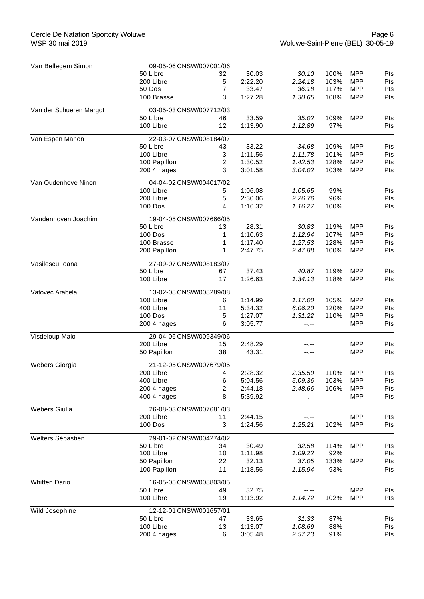| Van Bellegem Simon      | 09-05-06 CNSW/007001/06 |             |         |         |      |            |     |  |  |
|-------------------------|-------------------------|-------------|---------|---------|------|------------|-----|--|--|
|                         | 50 Libre                | 32          | 30.03   | 30.10   | 100% | <b>MPP</b> | Pts |  |  |
|                         | 200 Libre               | $\,$ 5 $\,$ | 2:22.20 | 2:24.18 | 103% | <b>MPP</b> | Pts |  |  |
|                         | 50 Dos                  | 7           | 33.47   | 36.18   | 117% | <b>MPP</b> | Pts |  |  |
|                         | 100 Brasse              | 3           | 1:27.28 | 1:30.65 | 108% | <b>MPP</b> | Pts |  |  |
| Van der Schueren Margot | 03-05-03 CNSW/007712/03 |             |         |         |      |            |     |  |  |
|                         | 50 Libre                | 46          | 33.59   | 35.02   | 109% | <b>MPP</b> | Pts |  |  |
|                         | 100 Libre               | 12          | 1:13.90 | 1:12.89 | 97%  |            | Pts |  |  |
| Van Espen Manon         | 22-03-07 CNSW/008184/07 |             |         |         |      |            |     |  |  |
|                         | 50 Libre                | 43          | 33.22   | 34.68   | 109% | <b>MPP</b> | Pts |  |  |
|                         | 100 Libre               | 3           | 1:11.56 | 1:11.78 | 101% | <b>MPP</b> | Pts |  |  |
|                         | 100 Papillon            | 2           | 1:30.52 | 1:42.53 | 128% | <b>MPP</b> | Pts |  |  |
|                         | 200 4 nages             | 3           | 3:01.58 | 3:04.02 | 103% | <b>MPP</b> | Pts |  |  |
| Van Oudenhove Ninon     | 04-04-02 CNSW/004017/02 |             |         |         |      |            |     |  |  |
|                         | 100 Libre               | 5           | 1:06.08 | 1:05.65 | 99%  |            | Pts |  |  |
|                         | 200 Libre               | 5           | 2:30.06 | 2:26.76 | 96%  |            | Pts |  |  |
|                         | 100 Dos                 | 4           | 1:16.32 | 1:16.27 | 100% |            | Pts |  |  |
| Vandenhoven Joachim     | 19-04-05 CNSW/007666/05 |             |         |         |      |            |     |  |  |
|                         | 50 Libre                | 13          | 28.31   | 30.83   | 119% | <b>MPP</b> | Pts |  |  |
|                         | <b>100 Dos</b>          | 1           | 1:10.63 | 1:12.94 | 107% | <b>MPP</b> | Pts |  |  |
|                         | 100 Brasse              | 1           | 1:17.40 | 1:27.53 | 128% | <b>MPP</b> | Pts |  |  |
|                         | 200 Papillon            | 1           | 2:47.75 | 2:47.88 | 100% | <b>MPP</b> | Pts |  |  |
| Vasilescu Ioana         | 27-09-07 CNSW/008183/07 |             |         |         |      |            |     |  |  |
|                         | 50 Libre                | 67          | 37.43   | 40.87   | 119% | <b>MPP</b> | Pts |  |  |
|                         | 100 Libre               | 17          | 1:26.63 | 1:34.13 | 118% | <b>MPP</b> | Pts |  |  |
| Vatovec Arabela         | 13-02-08 CNSW/008289/08 |             |         |         |      |            |     |  |  |
|                         | 100 Libre               | 6           | 1:14.99 | 1:17.00 | 105% | <b>MPP</b> | Pts |  |  |
|                         | 400 Libre               | 11          | 5:34.32 | 6:06.20 | 120% | <b>MPP</b> | Pts |  |  |
|                         | 100 Dos                 | 5           | 1:27.07 | 1:31.22 | 110% | <b>MPP</b> | Pts |  |  |
|                         | 200 4 nages             | 6           | 3:05.77 | --.--   |      | <b>MPP</b> | Pts |  |  |
| Visdeloup Malo          | 29-04-06 CNSW/009349/06 |             |         |         |      |            |     |  |  |
|                         | 200 Libre               | 15          | 2:48.29 |         |      | <b>MPP</b> | Pts |  |  |
|                         | 50 Papillon             | 38          | 43.31   | --.--   |      | <b>MPP</b> | Pts |  |  |
| <b>Webers Giorgia</b>   | 21-12-05 CNSW/007679/05 |             |         |         |      |            |     |  |  |
|                         | 200 Libre               | 4           | 2:28.32 | 2:35.50 | 110% | <b>MPP</b> | Pts |  |  |
|                         | 400 Libre               | 6           | 5:04.56 | 5:09.36 | 103% | <b>MPP</b> | Pts |  |  |
|                         | 200 4 nages             | 2           | 2:44.18 | 2:48.66 | 106% | <b>MPP</b> | Pts |  |  |
|                         | 400 4 nages             | 8           | 5:39.92 | --.--   |      | <b>MPP</b> | Pts |  |  |
| <b>Webers Giulia</b>    | 26-08-03 CNSW/007681/03 |             |         |         |      |            |     |  |  |
|                         | 200 Libre               | 11          | 2:44.15 |         |      | <b>MPP</b> | Pts |  |  |
|                         | 100 Dos                 | 3           | 1:24.56 | 1:25.21 | 102% | <b>MPP</b> | Pts |  |  |
| Welters Sébastien       | 29-01-02 CNSW/004274/02 |             |         |         |      |            |     |  |  |
|                         | 50 Libre                | 34          | 30.49   | 32.58   | 114% | <b>MPP</b> | Pts |  |  |
|                         | 100 Libre               | 10          | 1:11.98 | 1:09.22 | 92%  |            | Pts |  |  |
|                         | 50 Papillon             | 22          | 32.13   | 37.05   | 133% | <b>MPP</b> | Pts |  |  |
|                         | 100 Papillon            | 11          | 1:18.56 | 1:15.94 | 93%  |            | Pts |  |  |
| <b>Whitten Dario</b>    | 16-05-05 CNSW/008803/05 |             |         |         |      |            |     |  |  |
|                         | 50 Libre                | 49          | 32.75   | --.--   |      | <b>MPP</b> | Pts |  |  |
|                         | 100 Libre               | 19          | 1:13.92 | 1:14.72 | 102% | <b>MPP</b> | Pts |  |  |
| Wild Joséphine          | 12-12-01 CNSW/001657/01 |             |         |         |      |            |     |  |  |
|                         | 50 Libre                | 47          | 33.65   | 31.33   | 87%  |            | Pts |  |  |
|                         | 100 Libre               | 13          | 1:13.07 | 1:08.69 | 88%  |            | Pts |  |  |
|                         | 200 4 nages             | 6           | 3:05.48 | 2:57.23 | 91%  |            | Pts |  |  |